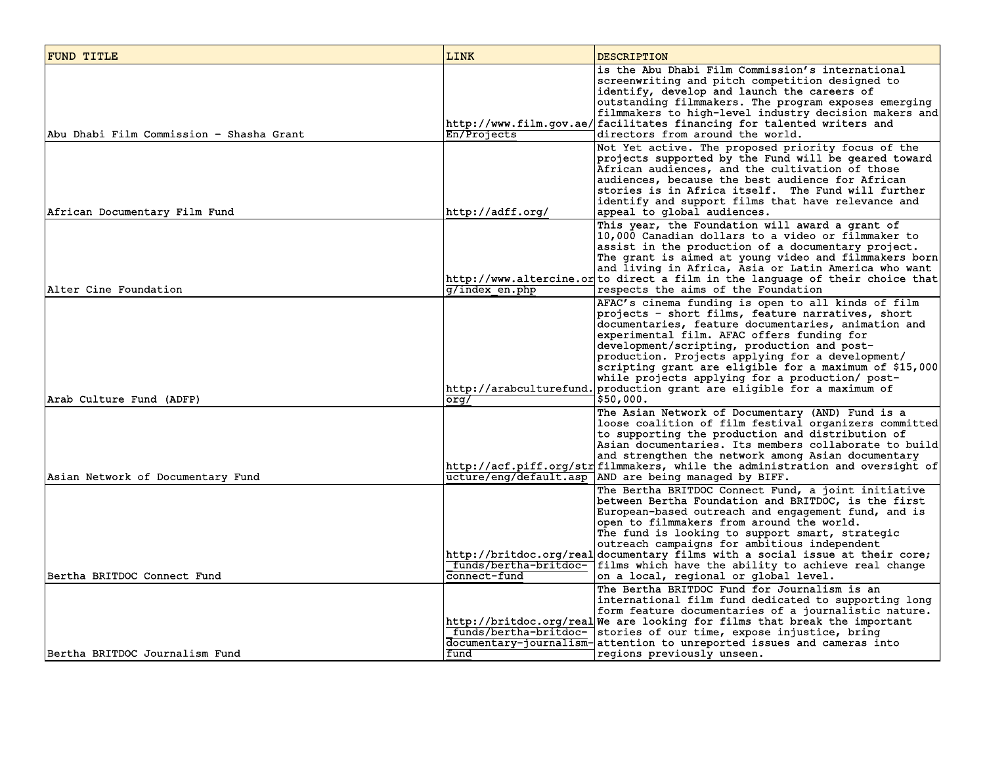| FUND TITLE                                                     | <b>LINK</b>                                   | <b>DESCRIPTION</b>                                                                                                                                                                                                                                                                                                                                                                                                                                                                                                  |
|----------------------------------------------------------------|-----------------------------------------------|---------------------------------------------------------------------------------------------------------------------------------------------------------------------------------------------------------------------------------------------------------------------------------------------------------------------------------------------------------------------------------------------------------------------------------------------------------------------------------------------------------------------|
| Abu Dhabi Film Commission - Shasha Grant                       | En/Projects                                   | is the Abu Dhabi Film Commission's international<br>screenwriting and pitch competition designed to<br>identify, develop and launch the careers of<br>outstanding filmmakers. The program exposes emerging<br>filmmakers to high-level industry decision makers and<br>http://www.film.gov.ae/ facilitates financing for talented writers and<br>directors from around the world.                                                                                                                                   |
| African Documentary Film Fund                                  | http://adff.org/                              | Not Yet active. The proposed priority focus of the<br>projects supported by the Fund will be geared toward<br>African audiences, and the cultivation of those<br>audiences, because the best audience for African<br>stories is in Africa itself. The Fund will further<br>identify and support films that have relevance and<br>appeal to global audiences.                                                                                                                                                        |
| Alter Cine Foundation                                          | g/index en.php                                | This year, the Foundation will award a grant of<br>10,000 Canadian dollars to a video or filmmaker to<br>assist in the production of a documentary project.<br>The grant is aimed at young video and filmmakers born<br>and living in Africa, Asia or Latin America who want<br>http://www.altercine.or to direct a film in the language of their choice that <br>respects the aims of the Foundation                                                                                                               |
| Arab Culture Fund (ADFP)                                       | org/                                          | AFAC's cinema funding is open to all kinds of film<br>projects - short films, feature narratives, short<br>documentaries, feature documentaries, animation and<br>experimental film. AFAC offers funding for<br>development/scripting, production and post-<br>production. Projects applying for a development/<br>scripting grant are eligible for a maximum of \$15,000<br>while projects applying for a production/ post-<br>http://arabculturefund. production grant are eligible for a maximum of<br>\$50,000. |
| Asian Network of Documentary Fund                              |                                               | The Asian Network of Documentary (AND) Fund is a<br>loose coalition of film festival organizers committed<br>to supporting the production and distribution of<br>Asian documentaries. Its members collaborate to build<br>and strengthen the network among Asian documentary<br>http://acf.piff.org/str filmmakers, while the administration and oversight of<br>ucture/eng/default.asp AND are being managed by BIFF.                                                                                              |
|                                                                | funds/bertha-britdoc-                         | The Bertha BRITDOC Connect Fund, a joint initiative<br>between Bertha Foundation and BRITDOC, is the first<br>European-based outreach and engagement fund, and is<br>open to filmmakers from around the world.<br>The fund is looking to support smart, strategic<br>outreach campaigns for ambitious independent<br>http://britdoc.org/real documentary films with a social issue at their core;<br>films which have the ability to achieve real change                                                            |
| Bertha BRITDOC Connect Fund<br> Bertha BRITDOC Journalism Fund | connect-fund<br>funds/bertha-britdoc-<br>fund | on a local, regional or global level.<br>The Bertha BRITDOC Fund for Journalism is an<br>international film fund dedicated to supporting long<br>form feature documentaries of a journalistic nature.<br>http://britdoc.org/real We are looking for films that break the important<br>stories of our time, expose injustice, bring<br>documentary-journalism- attention to unreported issues and cameras into<br>regions previously unseen.                                                                         |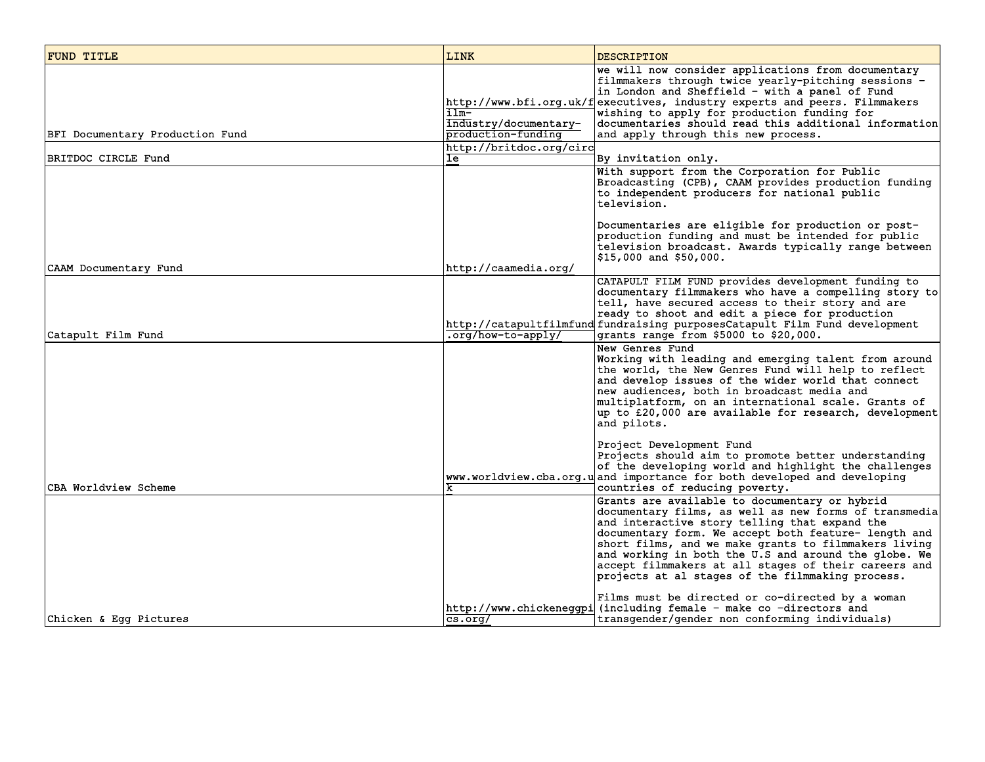| FUND TITLE                      | <b>LINK</b>                                         | <b>DESCRIPTION</b>                                                                                                                                                                                                                                                                                                                                                                                                                                                                              |
|---------------------------------|-----------------------------------------------------|-------------------------------------------------------------------------------------------------------------------------------------------------------------------------------------------------------------------------------------------------------------------------------------------------------------------------------------------------------------------------------------------------------------------------------------------------------------------------------------------------|
| BFI Documentary Production Fund | Ilm-<br>industry/documentary-<br>production-funding | we will now consider applications from documentary<br>filmmakers through twice yearly-pitching sessions -<br>in London and Sheffield - with a panel of Fund<br>http://www.bfi.org.uk/f executives, industry experts and peers. Filmmakers<br>wishing to apply for production funding for<br>documentaries should read this additional information<br>and apply through this new process.                                                                                                        |
| BRITDOC CIRCLE Fund             | http://britdoc.org/circ<br>Ιē                       |                                                                                                                                                                                                                                                                                                                                                                                                                                                                                                 |
|                                 |                                                     | By invitation only.<br>With support from the Corporation for Public<br>Broadcasting (CPB), CAAM provides production funding<br>to independent producers for national public<br>television.                                                                                                                                                                                                                                                                                                      |
| CAAM Documentary Fund           | http://caamedia.org/                                | Documentaries are eligible for production or post-<br>production funding and must be intended for public<br>television broadcast. Awards typically range between<br>$ $15,000$ and \$50,000.                                                                                                                                                                                                                                                                                                    |
| Catapult Film Fund              | .org/how-to-apply/                                  | CATAPULT FILM FUND provides development funding to<br>documentary filmmakers who have a compelling story to<br>tell, have secured access to their story and are<br>ready to shoot and edit a piece for production<br>http://catapultfilmfund fundraising purposesCatapult Film Fund development<br>grants range from \$5000 to \$20,000.                                                                                                                                                        |
|                                 |                                                     | New Genres Fund<br>Working with leading and emerging talent from around<br>the world, the New Genres Fund will help to reflect<br>and develop issues of the wider world that connect<br>new audiences, both in broadcast media and<br>multiplatform, on an international scale. Grants of<br>up to £20,000 are available for research, development<br>and pilots.                                                                                                                               |
| CBA Worldview Scheme            |                                                     | Project Development Fund<br>Projects should aim to promote better understanding<br>of the developing world and highlight the challenges<br>www.worldview.cba.org.u and importance for both developed and developing<br>countries of reducing poverty.                                                                                                                                                                                                                                           |
|                                 |                                                     | Grants are available to documentary or hybrid<br>documentary films, as well as new forms of transmedia<br>and interactive story telling that expand the<br>documentary form. We accept both feature- length and<br>short films, and we make grants to filmmakers living<br>and working in both the U.S and around the globe. We<br>accept filmmakers at all stages of their careers and<br>projects at al stages of the filmmaking process.<br>Films must be directed or co-directed by a woman |
| Chicken & Eqq Pictures          | $\overline{\text{cs.} \text{or} \text{q}}$          | http://www.chickeneqqpi (including female - make co -directors and<br>transgender/gender non conforming individuals)                                                                                                                                                                                                                                                                                                                                                                            |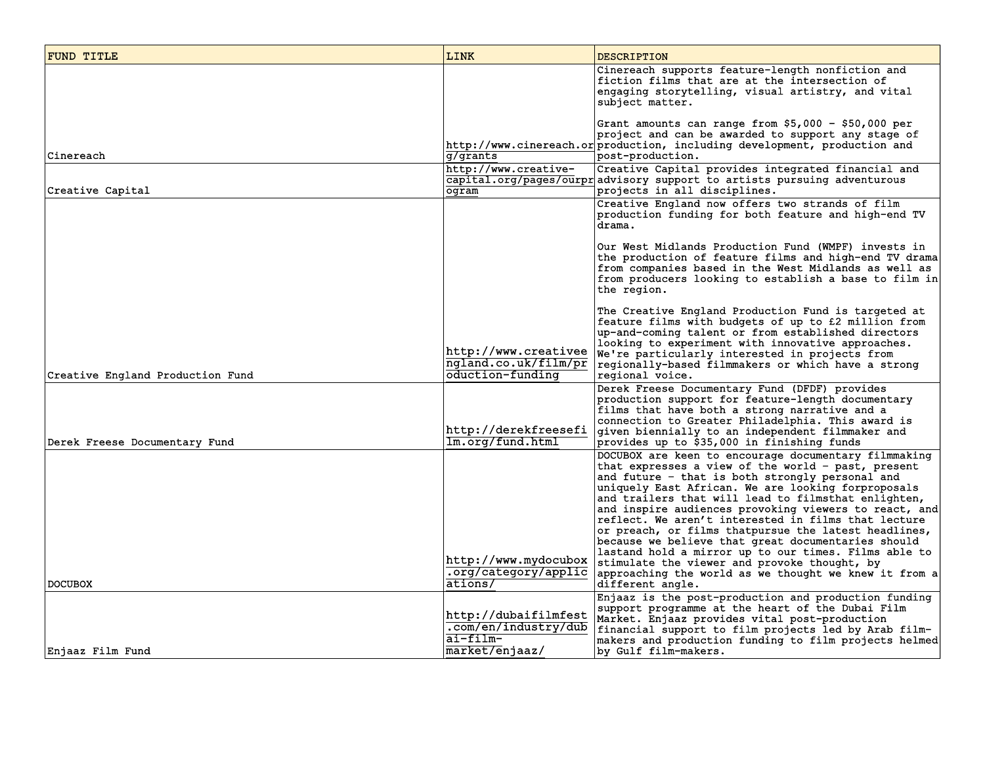| FUND TITLE                       | LINK                                                                       | <b>DESCRIPTION</b>                                                                                                                                                                                                                                                                                                                                                                                                                                                                                                                                                                                                                                                                            |
|----------------------------------|----------------------------------------------------------------------------|-----------------------------------------------------------------------------------------------------------------------------------------------------------------------------------------------------------------------------------------------------------------------------------------------------------------------------------------------------------------------------------------------------------------------------------------------------------------------------------------------------------------------------------------------------------------------------------------------------------------------------------------------------------------------------------------------|
|                                  |                                                                            | Cinereach supports feature-length nonfiction and<br>fiction films that are at the intersection of<br>engaging storytelling, visual artistry, and vital<br>subject matter.                                                                                                                                                                                                                                                                                                                                                                                                                                                                                                                     |
| Cinereach                        | g/grants                                                                   | Grant amounts can range from \$5,000 - \$50,000 per<br>project and can be awarded to support any stage of<br>http://www.cinereach.or production, including development, production and<br>post-production.                                                                                                                                                                                                                                                                                                                                                                                                                                                                                    |
| Creative Capital                 | http://www.creative-<br>ogram                                              | Creative Capital provides integrated financial and<br>capital.org/pages/ourpr advisory support to artists pursuing adventurous<br>projects in all disciplines.                                                                                                                                                                                                                                                                                                                                                                                                                                                                                                                                |
|                                  |                                                                            | Creative England now offers two strands of film<br>production funding for both feature and high-end TV<br>drama.                                                                                                                                                                                                                                                                                                                                                                                                                                                                                                                                                                              |
|                                  |                                                                            | Our West Midlands Production Fund (WMPF) invests in<br>the production of feature films and high-end TV drama<br>from companies based in the West Midlands as well as<br>from producers looking to establish a base to film in<br>the region.                                                                                                                                                                                                                                                                                                                                                                                                                                                  |
| Creative England Production Fund | http://www.creativee<br>ngland.co.uk/film/pr<br>oduction-funding           | The Creative England Production Fund is targeted at<br>feature films with budgets of up to £2 million from<br>up-and-coming talent or from established directors<br>looking to experiment with innovative approaches.<br>We're particularly interested in projects from<br>regionally-based filmmakers or which have a strong<br>regional voice.                                                                                                                                                                                                                                                                                                                                              |
| Derek Freese Documentary Fund    | http://derekfreesefi<br>Im.org/fund.html                                   | Derek Freese Documentary Fund (DFDF) provides<br>production support for feature-length documentary<br>films that have both a strong narrative and a<br>connection to Greater Philadelphia. This award is<br>given biennially to an independent filmmaker and<br>provides up to \$35,000 in finishing funds                                                                                                                                                                                                                                                                                                                                                                                    |
| <b>DOCUBOX</b>                   | http://www.mydocubox<br>.org/category/applic<br>ations/                    | DOCUBOX are keen to encourage documentary filmmaking<br>that expresses a view of the world - past, present<br>and future - that is both strongly personal and<br>uniquely East African. We are looking forproposals<br>and trailers that will lead to filmsthat enlighten,<br>and inspire audiences provoking viewers to react, and<br>reflect. We aren't interested in films that lecture<br>or preach, or films thatpursue the latest headlines,<br>because we believe that great documentaries should<br>lastand hold a mirror up to our times. Films able to<br>stimulate the viewer and provoke thought, by<br>approaching the world as we thought we knew it from a<br>different angle. |
| Enjaaz Film Fund                 | http://dubaifilmfest<br>.com/en/industry/dub<br>ai-film-<br>market/enjaaz/ | Enjaaz is the post-production and production funding<br>support programme at the heart of the Dubai Film<br>Market. Enjaaz provides vital post-production<br>financial support to film projects led by Arab film-<br>makers and production funding to film projects helmed<br>by Gulf film-makers.                                                                                                                                                                                                                                                                                                                                                                                            |
|                                  |                                                                            |                                                                                                                                                                                                                                                                                                                                                                                                                                                                                                                                                                                                                                                                                               |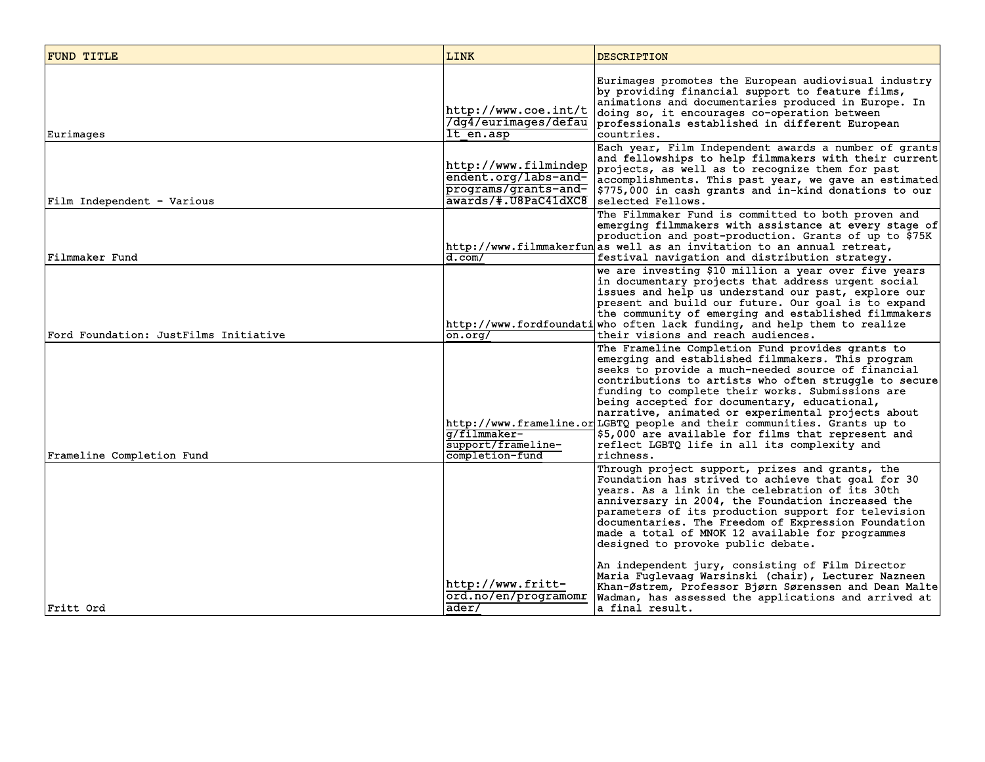| <b>FUND TITLE</b>                     | <b>LINK</b>                                                                                  | <b>DESCRIPTION</b>                                                                                                                                                                                                                                                                                                                                                                                                                                                                                                                                                                                                                                                   |
|---------------------------------------|----------------------------------------------------------------------------------------------|----------------------------------------------------------------------------------------------------------------------------------------------------------------------------------------------------------------------------------------------------------------------------------------------------------------------------------------------------------------------------------------------------------------------------------------------------------------------------------------------------------------------------------------------------------------------------------------------------------------------------------------------------------------------|
| Eurimages                             | http://www.coe.int/t <br>/dg4/eurimages/defau<br>It en.asp                                   | Eurimages promotes the European audiovisual industry<br>by providing financial support to feature films,<br>animations and documentaries produced in Europe. In<br>doing so, it encourages co-operation between<br>professionals established in different European<br>countries.                                                                                                                                                                                                                                                                                                                                                                                     |
| Film Independent - Various            | http://www.filmindep<br>endent.org/labs-and-<br>programs/grants-and-<br>awards/#.U8PaC41dXC8 | Each year, Film Independent awards a number of grants<br>and fellowships to help filmmakers with their current<br>projects, as well as to recognize them for past<br>accomplishments. This past year, we gave an estimated<br>\$775,000 in cash grants and in-kind donations to our<br>selected Fellows.                                                                                                                                                                                                                                                                                                                                                             |
| Filmmaker Fund                        | d.com/                                                                                       | The Filmmaker Fund is committed to both proven and<br>emerging filmmakers with assistance at every stage of<br>production and post-production. Grants of up to \$75K<br>http://www.filmmakerfunas well as an invitation to an annual retreat,<br>festival navigation and distribution strategy.                                                                                                                                                                                                                                                                                                                                                                      |
| Ford Foundation: JustFilms Initiative | on.org/                                                                                      | we are investing \$10 million a year over five years<br>in documentary projects that address urgent social<br>issues and help us understand our past, explore our<br>present and build our future. Our goal is to expand<br>the community of emerging and established filmmakers<br>http://www.fordfoundati who often lack funding, and help them to realize<br>their visions and reach audiences.                                                                                                                                                                                                                                                                   |
| Frameline Completion Fund             | q/filmmaker-<br>support/frameline-<br>completion-fund                                        | The Frameline Completion Fund provides grants to<br>emerging and established filmmakers. This program<br>seeks to provide a much-needed source of financial<br>contributions to artists who often struggle to secure<br>funding to complete their works. Submissions are<br>being accepted for documentary, educational,<br>narrative, animated or experimental projects about<br>http://www.frameline.or LGBTQ people and their communities. Grants up to<br>\$5,000 are available for films that represent and<br>reflect LGBTQ life in all its complexity and<br>richness.                                                                                        |
| Fritt Ord                             | http://www.fritt-<br>ord.no/en/programomr<br>ader/                                           | Through project support, prizes and grants, the<br>Foundation has strived to achieve that goal for 30<br>years. As a link in the celebration of its 30th<br>anniversary in 2004, the Foundation increased the<br>parameters of its production support for television<br>documentaries. The Freedom of Expression Foundation<br>made a total of MNOK 12 available for programmes<br>designed to provoke public debate.<br>An independent jury, consisting of Film Director<br>Maria Fuglevaag Warsinski (chair), Lecturer Nazneen<br>Khan-Østrem, Professor Bjørn Sørenssen and Dean Malte<br>Wadman, has assessed the applications and arrived at<br>a final result. |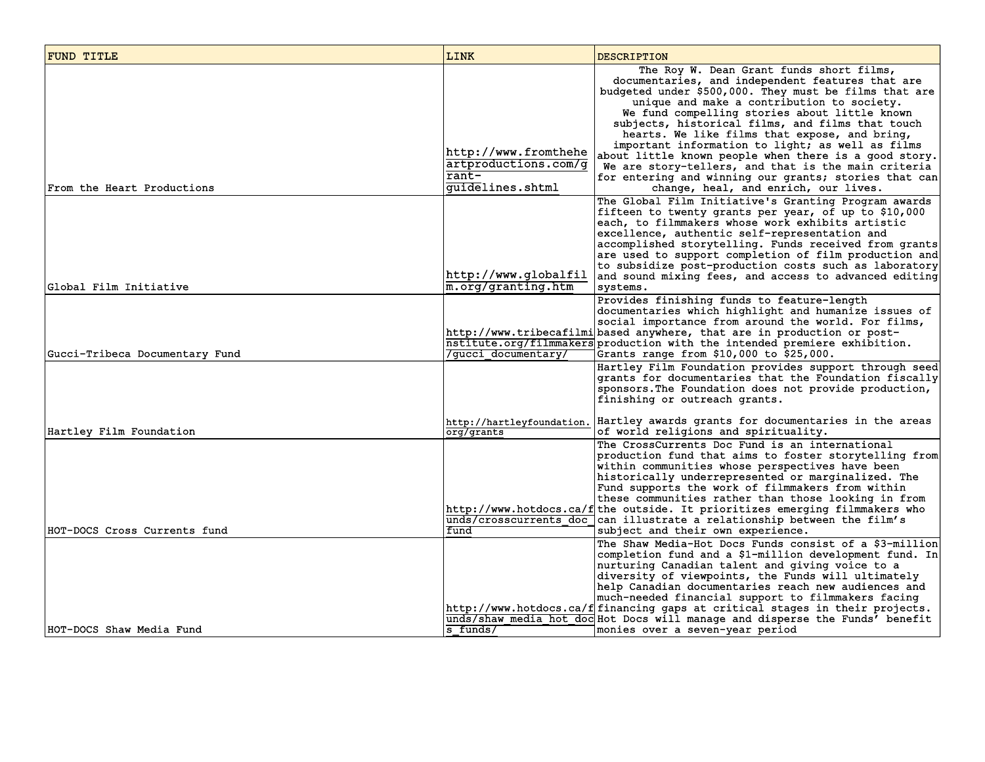| <b>FUND TITLE</b>              | <b>LINK</b>                                                                 | <b>DESCRIPTION</b>                                                                                                                                                                                                                                                                                                                                                                                                                                                                                                                                                                                                             |
|--------------------------------|-----------------------------------------------------------------------------|--------------------------------------------------------------------------------------------------------------------------------------------------------------------------------------------------------------------------------------------------------------------------------------------------------------------------------------------------------------------------------------------------------------------------------------------------------------------------------------------------------------------------------------------------------------------------------------------------------------------------------|
| From the Heart Productions     | http://www.fromthehe<br>artproductions.com/q<br>$rant-$<br>guidelines.shtml | The Roy W. Dean Grant funds short films,<br>documentaries, and independent features that are<br>budgeted under \$500,000. They must be films that are<br>unique and make a contribution to society.<br>We fund compelling stories about little known<br>subjects, historical films, and films that touch<br>hearts. We like films that expose, and bring,<br>important information to light; as well as films<br>about little known people when there is a good story.<br>We are story-tellers, and that is the main criteria<br>for entering and winning our grants; stories that can<br>change, heal, and enrich, our lives. |
| Global Film Initiative         | http://www.qlobalfil <br>$ m{\bf .}$ orq/qranting.htm                       | The Global Film Initiative's Granting Program awards<br>fifteen to twenty grants per year, of up to \$10,000<br>each, to filmmakers whose work exhibits artistic<br>excellence, authentic self-representation and<br>accomplished storytelling. Funds received from grants<br>are used to support completion of film production and<br>to subsidize post-production costs such as laboratory<br>and sound mixing fees, and access to advanced editing<br>systems.                                                                                                                                                              |
| Gucci-Tribeca Documentary Fund | /qucci documentary/                                                         | Provides finishing funds to feature-length<br>documentaries which highlight and humanize issues of<br>social importance from around the world. For films,<br>http://www.tribecafilmi based anywhere, that are in production or post-<br>nstitute.org/filmmakers production with the intended premiere exhibition.<br>Grants range from \$10,000 to \$25,000.                                                                                                                                                                                                                                                                   |
|                                | http://hartleyfoundation.                                                   | Hartley Film Foundation provides support through seed<br>grants for documentaries that the Foundation fiscally<br>sponsors. The Foundation does not provide production,<br>finishing or outreach grants.<br>Hartley awards grants for documentaries in the areas                                                                                                                                                                                                                                                                                                                                                               |
| Hartley Film Foundation        | org/grants                                                                  | of world religions and spirituality.                                                                                                                                                                                                                                                                                                                                                                                                                                                                                                                                                                                           |
| HOT-DOCS Cross Currents fund   | fund                                                                        | The CrossCurrents Doc Fund is an international<br>production fund that aims to foster storytelling from<br>within communities whose perspectives have been<br>historically underrepresented or marginalized. The<br>Fund supports the work of filmmakers from within<br>these communities rather than those looking in from<br>http://www.hotdocs.ca/f the outside. It prioritizes emerging filmmakers who<br>unds/crosscurrents doc can illustrate a relationship between the film's<br>subject and their own experience.                                                                                                     |
| HOT-DOCS Shaw Media Fund       | $s$ funds/                                                                  | The Shaw Media-Hot Docs Funds consist of a \$3-million<br>completion fund and a \$1-million development fund. In<br>nurturing Canadian talent and giving voice to a<br>diversity of viewpoints, the Funds will ultimately<br>help Canadian documentaries reach new audiences and<br>much-needed financial support to filmmakers facing<br>http://www.hotdocs.ca/f financing gaps at critical stages in their projects.<br>unds/shaw media hot doc Hot Docs will manage and disperse the Funds' benefit<br>monies over a seven-year period                                                                                      |
|                                |                                                                             |                                                                                                                                                                                                                                                                                                                                                                                                                                                                                                                                                                                                                                |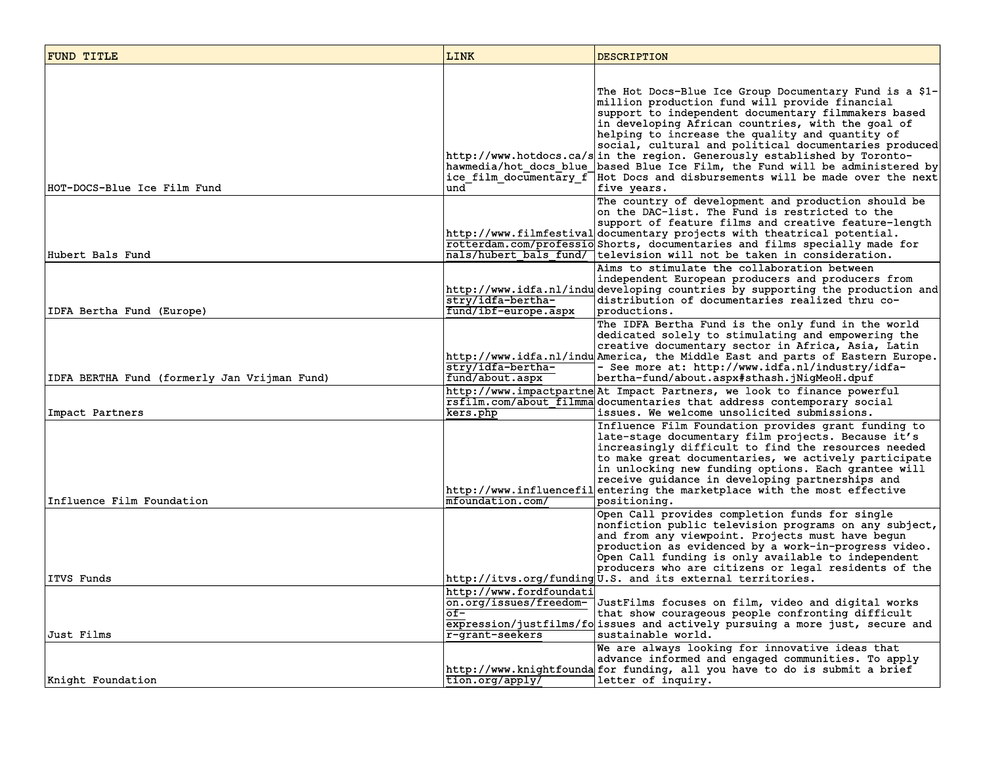| FUND TITLE                                   | LINK                                                                                      | <b>DESCRIPTION</b>                                                                                                                                                                                                                                                                                                                                                                                                                                                                                                                                                                             |
|----------------------------------------------|-------------------------------------------------------------------------------------------|------------------------------------------------------------------------------------------------------------------------------------------------------------------------------------------------------------------------------------------------------------------------------------------------------------------------------------------------------------------------------------------------------------------------------------------------------------------------------------------------------------------------------------------------------------------------------------------------|
| HOT-DOCS-Blue Ice Film Fund                  | und                                                                                       | The Hot Docs-Blue Ice Group Documentary Fund is a \$1-<br>million production fund will provide financial<br>support to independent documentary filmmakers based<br>in developing African countries, with the goal of<br>helping to increase the quality and quantity of<br>social, cultural and political documentaries produced<br>http://www.hotdocs.ca/s in the region. Generously established by Toronto-<br>hawmedia/hot docs blue based Blue Ice Film, the Fund will be administered by<br>ice film documentary f   Hot Docs and disbursements will be made over the next<br>five years. |
| Hubert Bals Fund                             |                                                                                           | The country of development and production should be<br>on the DAC-list. The Fund is restricted to the<br>support of feature films and creative feature-length<br>http://www.filmfestival documentary projects with theatrical potential.<br>rotterdam.com/professio Shorts, documentaries and films specially made for<br>nals/hubert bals fund/ television will not be taken in consideration.                                                                                                                                                                                                |
| IDFA Bertha Fund (Europe)                    | stry/idfa-bertha-<br>fund/ibf-europe.aspx                                                 | Aims to stimulate the collaboration between<br>independent European producers and producers from<br>http://www.idfa.nl/indu developing countries by supporting the production and<br>distribution of documentaries realized thru co-<br>productions.                                                                                                                                                                                                                                                                                                                                           |
| IDFA BERTHA Fund (formerly Jan Vrijman Fund) | stry/idfa-bertha-<br>fund/about.aspx                                                      | The IDFA Bertha Fund is the only fund in the world<br>dedicated solely to stimulating and empowering the<br>creative documentary sector in Africa, Asia, Latin<br>http://www.idfa.nl/indu America, the Middle East and parts of Eastern Europe.<br>- See more at: http://www.idfa.nl/industry/idfa-<br>bertha-fund/about.aspx#sthash.jNiqMeoH.dpuf                                                                                                                                                                                                                                             |
| Impact Partners                              | kers.php                                                                                  | http://www.impactpartne At Impact Partners, we look to finance powerful<br>rsfilm.com/about filmma documentaries that address contemporary social<br>issues. We welcome unsolicited submissions.                                                                                                                                                                                                                                                                                                                                                                                               |
| Influence Film Foundation                    | mfoundation.com/                                                                          | Influence Film Foundation provides grant funding to<br>late-stage documentary film projects. Because it's<br>increasingly difficult to find the resources needed<br>to make great documentaries, we actively participate<br>in unlocking new funding options. Each grantee will<br>receive guidance in developing partnerships and<br>http://www.influencefilentering the marketplace with the most effective<br>positioning.                                                                                                                                                                  |
| ITVS Funds                                   |                                                                                           | Open Call provides completion funds for single<br>nonfiction public television programs on any subject,<br>and from any viewpoint. Projects must have begun<br>production as evidenced by a work-in-progress video.<br>Open Call funding is only available to independent<br>producers who are citizens or legal residents of the<br>http://itvs.org/funding U.S. and its external territories.                                                                                                                                                                                                |
| Just Films                                   | http://www.fordfoundati<br>on.org/issues/freedom-<br>$\overline{of}$ -<br>r-grant-seekers | JustFilms focuses on film, video and digital works<br>that show courageous people confronting difficult<br>expression/justfilms/fo issues and actively pursuing a more just, secure and<br>sustainable world.                                                                                                                                                                                                                                                                                                                                                                                  |
| Knight Foundation                            | tion.org/apply/                                                                           | We are always looking for innovative ideas that<br>advance informed and engaged communities. To apply<br>http://www.knightfounda for funding, all you have to do is submit a brief<br>letter of inquiry.                                                                                                                                                                                                                                                                                                                                                                                       |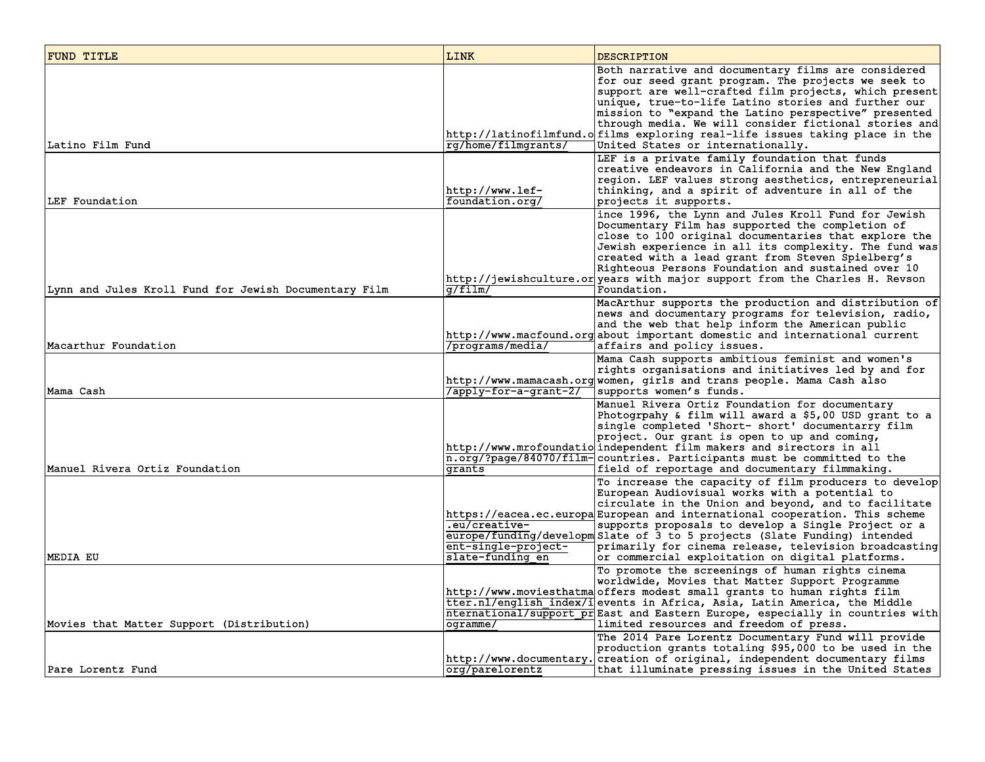| FUND TITLE                                            | LINK                                                     | <b>DESCRIPTION</b>                                                                                                                                                                                                                                                                                                                                                                                                                                                                              |
|-------------------------------------------------------|----------------------------------------------------------|-------------------------------------------------------------------------------------------------------------------------------------------------------------------------------------------------------------------------------------------------------------------------------------------------------------------------------------------------------------------------------------------------------------------------------------------------------------------------------------------------|
| Latino Film Fund                                      | rg/home/filmgrants/                                      | Both narrative and documentary films are considered<br>for our seed grant program. The projects we seek to<br>support are well-crafted film projects, which present<br>unique, true-to-life Latino stories and further our<br>mission to "expand the Latino perspective" presented<br>through media. We will consider fictional stories and<br>http://latinofilmfund.o films exploring real-life issues taking place in the<br>United States or internationally.                                |
| LEF Foundation                                        | http://www.lef-<br>foundation.org/                       | LEF is a private family foundation that funds<br>creative endeavors in California and the New England<br>region. LEF values strong aesthetics, entrepreneurial<br>thinking, and a spirit of adventure in all of the<br>projects it supports.                                                                                                                                                                                                                                                    |
| Lynn and Jules Kroll Fund for Jewish Documentary Film | q/film/                                                  | ince 1996, the Lynn and Jules Kroll Fund for Jewish<br>Documentary Film has supported the completion of<br>close to 100 original documentaries that explore the<br>Jewish experience in all its complexity. The fund was<br>created with a lead grant from Steven Spielberg's<br>Righteous Persons Foundation and sustained over 10<br>http://jewishculture.or years with major support from the Charles H. Revson<br>Foundation.                                                               |
| Macarthur Foundation                                  | /programs/media/                                         | MacArthur supports the production and distribution of<br>news and documentary programs for television, radio,<br>and the web that help inform the American public<br>http://www.macfound.org about important domestic and international current<br>affairs and policy issues.                                                                                                                                                                                                                   |
| Mama Cash                                             | /apply-for-a-grant-2/                                    | Mama Cash supports ambitious feminist and women's<br>rights organisations and initiatives led by and for<br>http://www.mamacash.org women, girls and trans people. Mama Cash also<br>supports women's funds.                                                                                                                                                                                                                                                                                    |
| Manuel Rivera Ortiz Foundation                        | grants                                                   | Manuel Rivera Ortiz Foundation for documentary<br>Photogrpahy & film will award a \$5,00 USD grant to a<br>single completed 'Short- short' documentarry film<br>project. Our grant is open to up and coming,<br>http://www.mrofoundatio independent film makers and sirectors in all<br>$\overline{n.org/?page/84070/film}$ countries. Participants must be committed to the<br>field of reportage and documentary filmmaking.                                                                  |
| MEDIA EU                                              | .eu/creative-<br>ent-single-project-<br>slate-funding en | To increase the capacity of film producers to develop<br>European Audiovisual works with a potential to<br>circulate in the Union and beyond, and to facilitate<br>https://eacea.ec.europa European and international cooperation. This scheme<br>supports proposals to develop a Single Project or a<br>europe/funding/developm Slate of 3 to 5 projects (Slate Funding) intended<br>primarily for cinema release, television broadcasting<br>or commercial exploitation on digital platforms. |
| Movies that Matter Support (Distribution)             | ogramme/                                                 | To promote the screenings of human rights cinema<br>worldwide, Movies that Matter Support Programme<br>http://www.moviesthatmaoffers modest small grants to human rights film<br>tter.nl/english index/i events in Africa, Asia, Latin America, the Middle<br>nternational/support prEast and Eastern Europe, especially in countries with<br>limited resources and freedom of press.                                                                                                           |
| Pare Lorentz Fund                                     | org/parelorentz                                          | The 2014 Pare Lorentz Documentary Fund will provide<br>production grants totaling \$95,000 to be used in the<br>http://www.documentary.creation of original, independent documentary films<br>that illuminate pressing issues in the United States                                                                                                                                                                                                                                              |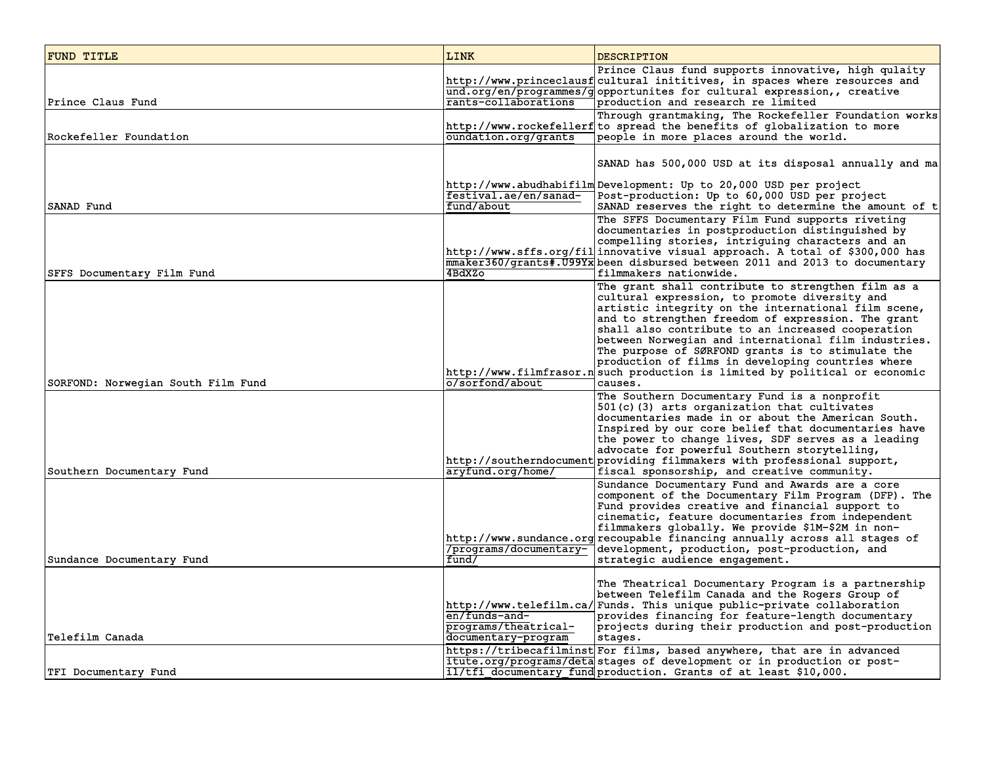| FUND TITLE                         | <b>LINK</b>                                                  | <b>DESCRIPTION</b>                                                                                                                                                                                                                                                                                                                                                                                                                                                                                                     |
|------------------------------------|--------------------------------------------------------------|------------------------------------------------------------------------------------------------------------------------------------------------------------------------------------------------------------------------------------------------------------------------------------------------------------------------------------------------------------------------------------------------------------------------------------------------------------------------------------------------------------------------|
| Prince Claus Fund                  | rants-collaborations                                         | Prince Claus fund supports innovative, high qulaity<br>http://www.princeclausf cultural inititives, in spaces where resources and<br>und.org/en/programmes/gopportunites for cultural expression,, creative<br>production and research re limited                                                                                                                                                                                                                                                                      |
| Rockefeller Foundation             | oundation.org/grants                                         | Through grantmaking, The Rockefeller Foundation works<br>http://www.rockefellerf to spread the benefits of globalization to more<br>people in more places around the world.                                                                                                                                                                                                                                                                                                                                            |
|                                    |                                                              | SANAD has 500,000 USD at its disposal annually and ma                                                                                                                                                                                                                                                                                                                                                                                                                                                                  |
| SANAD Fund                         | festival.ae/en/sanad-<br>fund/about                          | http://www.abudhabifilm Development: Up to 20,000 USD per project<br>Post-production: Up to 60,000 USD per project<br>SANAD reserves the right to determine the amount of t                                                                                                                                                                                                                                                                                                                                            |
| SFFS Documentary Film Fund         | 4BdXZo                                                       | The SFFS Documentary Film Fund supports riveting<br>documentaries in postproduction distinguished by<br>compelling stories, intriguing characters and an<br>http://www.sffs.org/fil innovative visual approach. A total of \$300,000 has<br>mmaker360/grants#.U99Yx been disbursed between 2011 and 2013 to documentary<br>filmmakers nationwide.                                                                                                                                                                      |
|                                    |                                                              | The grant shall contribute to strengthen film as a<br>cultural expression, to promote diversity and<br>artistic integrity on the international film scene,<br>and to strengthen freedom of expression. The grant<br>shall also contribute to an increased cooperation<br>between Norwegian and international film industries.<br>The purpose of SØRFOND grants is to stimulate the<br>production of films in developing countries where<br>http://www.filmfrasor.n such production is limited by political or economic |
| SORFOND: Norwegian South Film Fund | o/sorfond/about                                              | causes.<br>The Southern Documentary Fund is a nonprofit<br>501(c)(3) arts organization that cultivates<br>documentaries made in or about the American South.<br>Inspired by our core belief that documentaries have<br>the power to change lives, SDF serves as a leading                                                                                                                                                                                                                                              |
| Southern Documentary Fund          | aryfund.org/home/                                            | advocate for powerful Southern storytelling,<br>http://southerndocument providing filmmakers with professional support,<br>fiscal sponsorship, and creative community.                                                                                                                                                                                                                                                                                                                                                 |
| Sundance Documentary Fund          | /programs/documentary-<br>fund/                              | Sundance Documentary Fund and Awards are a core<br>component of the Documentary Film Program (DFP). The<br>Fund provides creative and financial support to<br>cinematic, feature documentaries from independent<br>filmmakers globally. We provide \$1M-\$2M in non-<br>http://www.sundance.org recoupable financing annually across all stages of<br>development, production, post-production, and<br>strategic audience engagement.                                                                                  |
| Telefilm Canada                    | en/funds-and-<br>programs/theatrical-<br>documentary-program | The Theatrical Documentary Program is a partnership<br>between Telefilm Canada and the Rogers Group of<br>http://www.telefilm.ca/ Funds. This unique public-private collaboration<br>provides financing for feature-length documentary<br>projects during their production and post-production<br>stages.                                                                                                                                                                                                              |
| TFI Documentary Fund               |                                                              | https://tribecafilminst For films, based anywhere, that are in advanced<br>itute.org/programs/deta stages of development or in production or post-<br>il/tfi documentary fund production. Grants of at least \$10,000.                                                                                                                                                                                                                                                                                                 |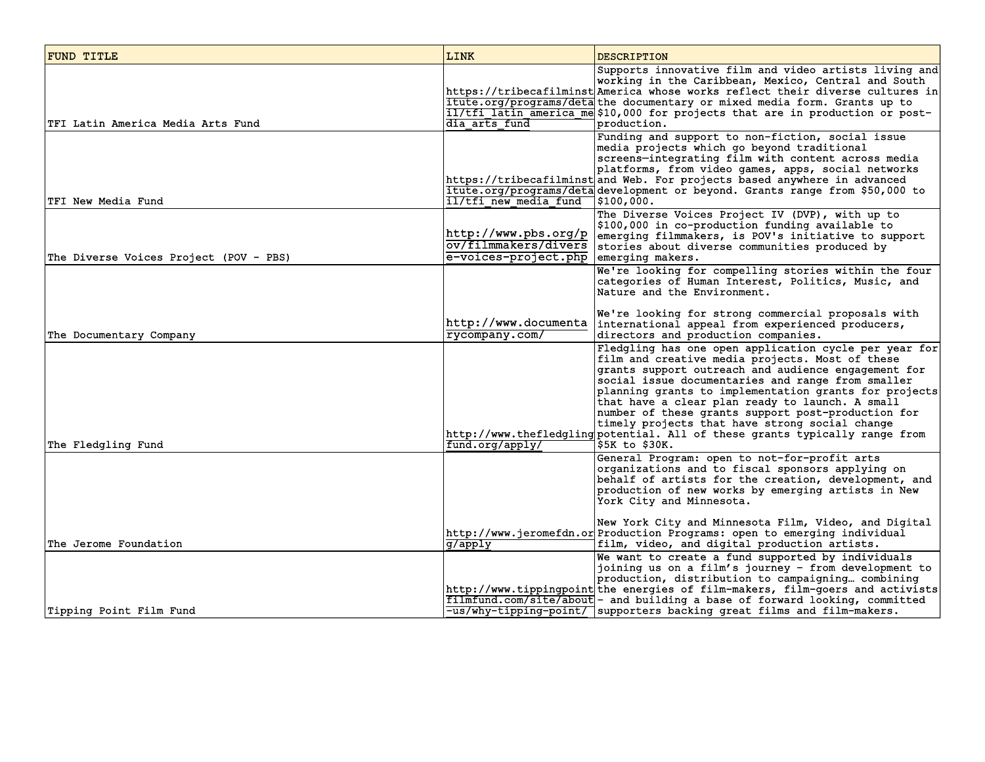| <b>FUND TITLE</b>                      | LINK                                                             | <b>DESCRIPTION</b>                                                                                                                                                                                                                                                                                                                                                                                                                                                                                                                        |
|----------------------------------------|------------------------------------------------------------------|-------------------------------------------------------------------------------------------------------------------------------------------------------------------------------------------------------------------------------------------------------------------------------------------------------------------------------------------------------------------------------------------------------------------------------------------------------------------------------------------------------------------------------------------|
| TFI Latin America Media Arts Fund      | dia arts fund                                                    | Supports innovative film and video artists living and<br>working in the Caribbean, Mexico, Central and South<br>https://tribecafilminst America whose works reflect their diverse cultures in<br>itute.org/programs/detathe documentary or mixed media form. Grants up to<br>il/tfi latin america me \$10,000 for projects that are in production or post-<br>production.                                                                                                                                                                 |
| TFI New Media Fund                     | il/tfi new media fund                                            | Funding and support to non-fiction, social issue<br>media projects which go beyond traditional<br>screens-integrating film with content across media<br>platforms, from video games, apps, social networks<br>https://tribecafilminst and Web. For projects based anywhere in advanced<br>itute.org/programs/deta development or beyond. Grants range from \$50,000 to<br>7\$100,000.                                                                                                                                                     |
| The Diverse Voices Project (POV - PBS) | http://www.pbs.org/p <br>e-voices-project.php   emerging makers. | The Diverse Voices Project IV (DVP), with up to<br>\$100,000 in co-production funding available to<br>emerging filmmakers, is POV's initiative to support<br>ov/filmmakers/divers stories about diverse communities produced by                                                                                                                                                                                                                                                                                                           |
| The Documentary Company                | http://www.documenta<br>rycompany.com/                           | We're looking for compelling stories within the four<br>categories of Human Interest, Politics, Music, and<br>Nature and the Environment.<br>We're looking for strong commercial proposals with<br>international appeal from experienced producers,<br>directors and production companies.                                                                                                                                                                                                                                                |
| The Fledgling Fund                     | fund.org/apply/                                                  | Fledgling has one open application cycle per year for<br>film and creative media projects. Most of these<br>grants support outreach and audience engagement for<br>social issue documentaries and range from smaller<br>planning grants to implementation grants for projects<br>that have a clear plan ready to launch. A small<br>number of these grants support post-production for<br>timely projects that have strong social change<br>http://www.thefledgling potential. All of these grants typically range from<br>\$5K to \$30K. |
|                                        |                                                                  | General Program: open to not-for-profit arts<br>organizations and to fiscal sponsors applying on<br>behalf of artists for the creation, development, and<br>production of new works by emerging artists in New<br>York City and Minnesota.                                                                                                                                                                                                                                                                                                |
| The Jerome Foundation                  | g/apply                                                          | New York City and Minnesota Film, Video, and Digital<br>http://www.jeromefdn.or Production Programs: open to emerging individual<br>film, video, and digital production artists.                                                                                                                                                                                                                                                                                                                                                          |
| Tipping Point Film Fund                |                                                                  | We want to create a fund supported by individuals<br>joining us on a film's journey - from development to<br>production, distribution to campaigning combining<br>http://www.tippingpoint the energies of film-makers, film-goers and activists<br>filmfund.com/site/about - and building a base of forward looking, committed<br>-us/why-tipping-point/ supporters backing great films and film-makers.                                                                                                                                  |